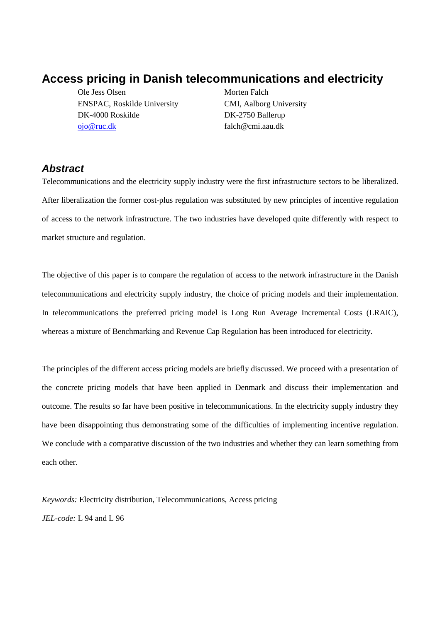# **Access pricing in Danish telecommunications and electricity**

Ole Jess Olsen Morten Falch ENSPAC, Roskilde University CMI, Aalborg University DK-4000 Roskilde DK-2750 Ballerup ojo@ruc.dk falch@cmi.aau.dk

## **Abstract**

Telecommunications and the electricity supply industry were the first infrastructure sectors to be liberalized. After liberalization the former cost-plus regulation was substituted by new principles of incentive regulation of access to the network infrastructure. The two industries have developed quite differently with respect to market structure and regulation.

The objective of this paper is to compare the regulation of access to the network infrastructure in the Danish telecommunications and electricity supply industry, the choice of pricing models and their implementation. In telecommunications the preferred pricing model is Long Run Average Incremental Costs (LRAIC), whereas a mixture of Benchmarking and Revenue Cap Regulation has been introduced for electricity.

The principles of the different access pricing models are briefly discussed. We proceed with a presentation of the concrete pricing models that have been applied in Denmark and discuss their implementation and outcome. The results so far have been positive in telecommunications. In the electricity supply industry they have been disappointing thus demonstrating some of the difficulties of implementing incentive regulation. We conclude with a comparative discussion of the two industries and whether they can learn something from each other.

*Keywords:* Electricity distribution, Telecommunications, Access pricing *JEL-code:* L 94 and L 96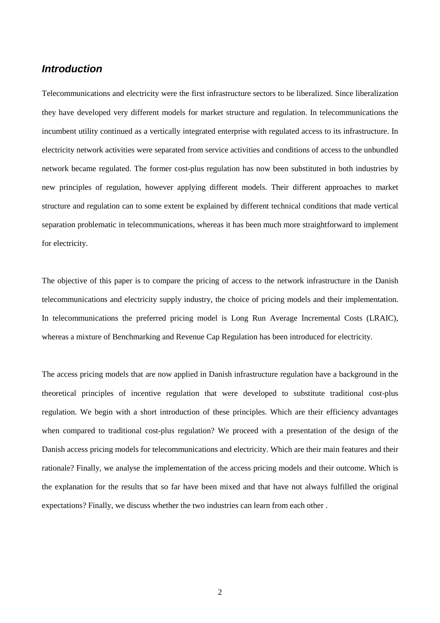### **Introduction**

Telecommunications and electricity were the first infrastructure sectors to be liberalized. Since liberalization they have developed very different models for market structure and regulation. In telecommunications the incumbent utility continued as a vertically integrated enterprise with regulated access to its infrastructure. In electricity network activities were separated from service activities and conditions of access to the unbundled network became regulated. The former cost-plus regulation has now been substituted in both industries by new principles of regulation, however applying different models. Their different approaches to market structure and regulation can to some extent be explained by different technical conditions that made vertical separation problematic in telecommunications, whereas it has been much more straightforward to implement for electricity.

The objective of this paper is to compare the pricing of access to the network infrastructure in the Danish telecommunications and electricity supply industry, the choice of pricing models and their implementation. In telecommunications the preferred pricing model is Long Run Average Incremental Costs (LRAIC), whereas a mixture of Benchmarking and Revenue Cap Regulation has been introduced for electricity.

The access pricing models that are now applied in Danish infrastructure regulation have a background in the theoretical principles of incentive regulation that were developed to substitute traditional cost-plus regulation. We begin with a short introduction of these principles. Which are their efficiency advantages when compared to traditional cost-plus regulation? We proceed with a presentation of the design of the Danish access pricing models for telecommunications and electricity. Which are their main features and their rationale? Finally, we analyse the implementation of the access pricing models and their outcome. Which is the explanation for the results that so far have been mixed and that have not always fulfilled the original expectations? Finally, we discuss whether the two industries can learn from each other .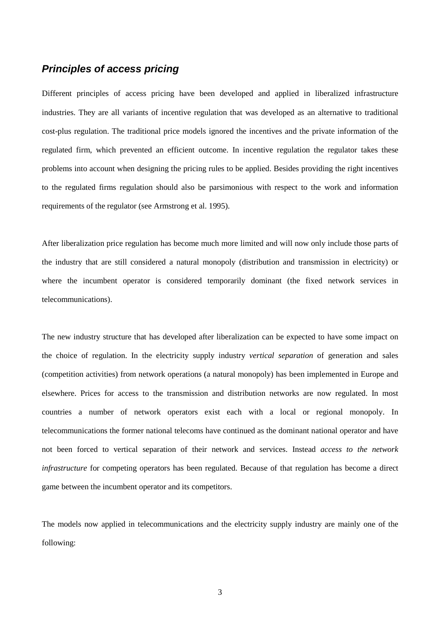## **Principles of access pricing**

Different principles of access pricing have been developed and applied in liberalized infrastructure industries. They are all variants of incentive regulation that was developed as an alternative to traditional cost-plus regulation. The traditional price models ignored the incentives and the private information of the regulated firm, which prevented an efficient outcome. In incentive regulation the regulator takes these problems into account when designing the pricing rules to be applied. Besides providing the right incentives to the regulated firms regulation should also be parsimonious with respect to the work and information requirements of the regulator (see Armstrong et al. 1995).

After liberalization price regulation has become much more limited and will now only include those parts of the industry that are still considered a natural monopoly (distribution and transmission in electricity) or where the incumbent operator is considered temporarily dominant (the fixed network services in telecommunications).

The new industry structure that has developed after liberalization can be expected to have some impact on the choice of regulation. In the electricity supply industry *vertical separation* of generation and sales (competition activities) from network operations (a natural monopoly) has been implemented in Europe and elsewhere. Prices for access to the transmission and distribution networks are now regulated. In most countries a number of network operators exist each with a local or regional monopoly. In telecommunications the former national telecoms have continued as the dominant national operator and have not been forced to vertical separation of their network and services. Instead *access to the network infrastructure* for competing operators has been regulated. Because of that regulation has become a direct game between the incumbent operator and its competitors.

The models now applied in telecommunications and the electricity supply industry are mainly one of the following: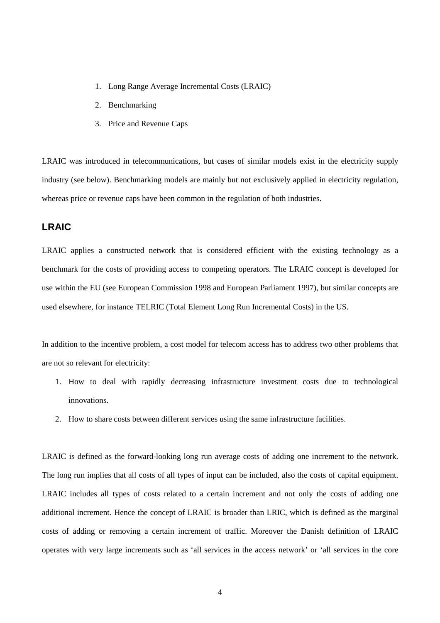- 1. Long Range Average Incremental Costs (LRAIC)
- 2. Benchmarking
- 3. Price and Revenue Caps

LRAIC was introduced in telecommunications, but cases of similar models exist in the electricity supply industry (see below). Benchmarking models are mainly but not exclusively applied in electricity regulation, whereas price or revenue caps have been common in the regulation of both industries.

### **LRAIC**

LRAIC applies a constructed network that is considered efficient with the existing technology as a benchmark for the costs of providing access to competing operators. The LRAIC concept is developed for use within the EU (see European Commission 1998 and European Parliament 1997), but similar concepts are used elsewhere, for instance TELRIC (Total Element Long Run Incremental Costs) in the US.

In addition to the incentive problem, a cost model for telecom access has to address two other problems that are not so relevant for electricity:

- 1. How to deal with rapidly decreasing infrastructure investment costs due to technological innovations.
- 2. How to share costs between different services using the same infrastructure facilities.

LRAIC is defined as the forward-looking long run average costs of adding one increment to the network. The long run implies that all costs of all types of input can be included, also the costs of capital equipment. LRAIC includes all types of costs related to a certain increment and not only the costs of adding one additional increment. Hence the concept of LRAIC is broader than LRIC, which is defined as the marginal costs of adding or removing a certain increment of traffic. Moreover the Danish definition of LRAIC operates with very large increments such as 'all services in the access network' or 'all services in the core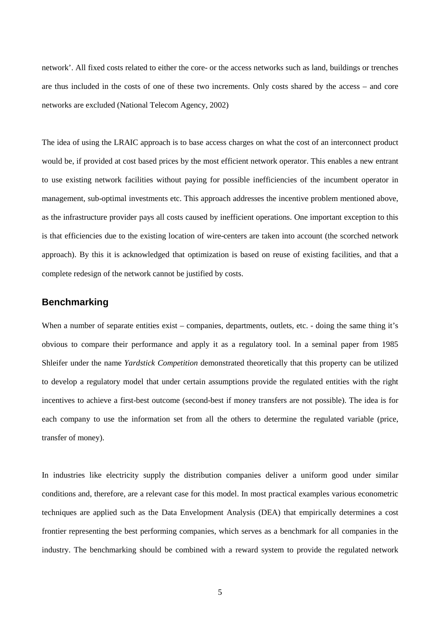network'. All fixed costs related to either the core- or the access networks such as land, buildings or trenches are thus included in the costs of one of these two increments. Only costs shared by the access – and core networks are excluded (National Telecom Agency, 2002)

The idea of using the LRAIC approach is to base access charges on what the cost of an interconnect product would be, if provided at cost based prices by the most efficient network operator. This enables a new entrant to use existing network facilities without paying for possible inefficiencies of the incumbent operator in management, sub-optimal investments etc. This approach addresses the incentive problem mentioned above, as the infrastructure provider pays all costs caused by inefficient operations. One important exception to this is that efficiencies due to the existing location of wire-centers are taken into account (the scorched network approach). By this it is acknowledged that optimization is based on reuse of existing facilities, and that a complete redesign of the network cannot be justified by costs.

#### **Benchmarking**

When a number of separate entities exist – companies, departments, outlets, etc. - doing the same thing it's obvious to compare their performance and apply it as a regulatory tool. In a seminal paper from 1985 Shleifer under the name *Yardstick Competition* demonstrated theoretically that this property can be utilized to develop a regulatory model that under certain assumptions provide the regulated entities with the right incentives to achieve a first-best outcome (second-best if money transfers are not possible). The idea is for each company to use the information set from all the others to determine the regulated variable (price, transfer of money).

In industries like electricity supply the distribution companies deliver a uniform good under similar conditions and, therefore, are a relevant case for this model. In most practical examples various econometric techniques are applied such as the Data Envelopment Analysis (DEA) that empirically determines a cost frontier representing the best performing companies, which serves as a benchmark for all companies in the industry. The benchmarking should be combined with a reward system to provide the regulated network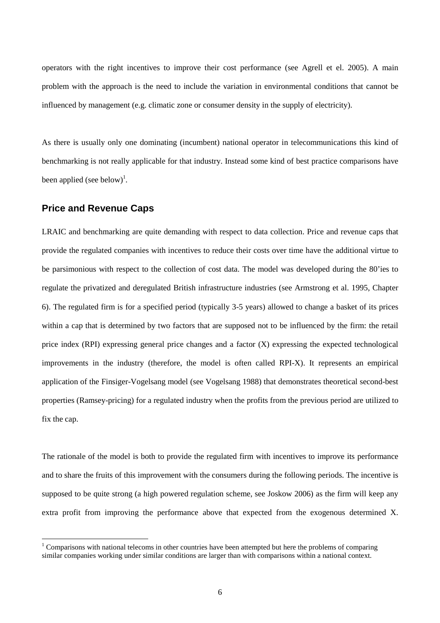operators with the right incentives to improve their cost performance (see Agrell et el. 2005). A main problem with the approach is the need to include the variation in environmental conditions that cannot be influenced by management (e.g. climatic zone or consumer density in the supply of electricity).

As there is usually only one dominating (incumbent) national operator in telecommunications this kind of benchmarking is not really applicable for that industry. Instead some kind of best practice comparisons have been applied (see below)<sup>1</sup>.

#### **Price and Revenue Caps**

 $\overline{a}$ 

LRAIC and benchmarking are quite demanding with respect to data collection. Price and revenue caps that provide the regulated companies with incentives to reduce their costs over time have the additional virtue to be parsimonious with respect to the collection of cost data. The model was developed during the 80'ies to regulate the privatized and deregulated British infrastructure industries (see Armstrong et al. 1995, Chapter 6). The regulated firm is for a specified period (typically 3-5 years) allowed to change a basket of its prices within a cap that is determined by two factors that are supposed not to be influenced by the firm: the retail price index (RPI) expressing general price changes and a factor (X) expressing the expected technological improvements in the industry (therefore, the model is often called RPI-X). It represents an empirical application of the Finsiger-Vogelsang model (see Vogelsang 1988) that demonstrates theoretical second-best properties (Ramsey-pricing) for a regulated industry when the profits from the previous period are utilized to fix the cap.

The rationale of the model is both to provide the regulated firm with incentives to improve its performance and to share the fruits of this improvement with the consumers during the following periods. The incentive is supposed to be quite strong (a high powered regulation scheme, see Joskow 2006) as the firm will keep any extra profit from improving the performance above that expected from the exogenous determined X.

 $1$  Comparisons with national telecoms in other countries have been attempted but here the problems of comparing similar companies working under similar conditions are larger than with comparisons within a national context.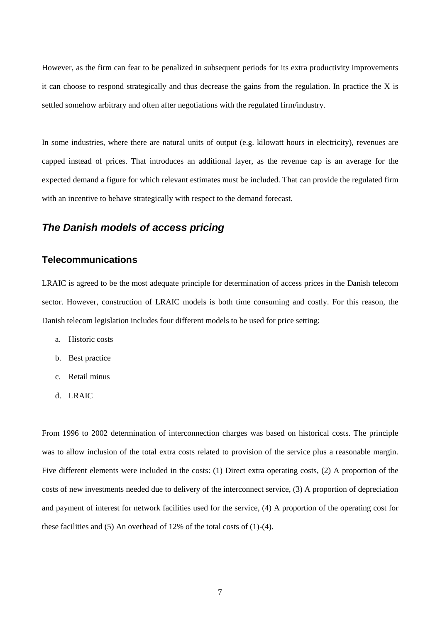However, as the firm can fear to be penalized in subsequent periods for its extra productivity improvements it can choose to respond strategically and thus decrease the gains from the regulation. In practice the X is settled somehow arbitrary and often after negotiations with the regulated firm/industry.

In some industries, where there are natural units of output (e.g. kilowatt hours in electricity), revenues are capped instead of prices. That introduces an additional layer, as the revenue cap is an average for the expected demand a figure for which relevant estimates must be included. That can provide the regulated firm with an incentive to behave strategically with respect to the demand forecast.

### **The Danish models of access pricing**

#### **Telecommunications**

LRAIC is agreed to be the most adequate principle for determination of access prices in the Danish telecom sector. However, construction of LRAIC models is both time consuming and costly. For this reason, the Danish telecom legislation includes four different models to be used for price setting:

- a. Historic costs
- b. Best practice
- c. Retail minus
- d. LRAIC

From 1996 to 2002 determination of interconnection charges was based on historical costs. The principle was to allow inclusion of the total extra costs related to provision of the service plus a reasonable margin. Five different elements were included in the costs: (1) Direct extra operating costs, (2) A proportion of the costs of new investments needed due to delivery of the interconnect service, (3) A proportion of depreciation and payment of interest for network facilities used for the service, (4) A proportion of the operating cost for these facilities and (5) An overhead of 12% of the total costs of (1)-(4).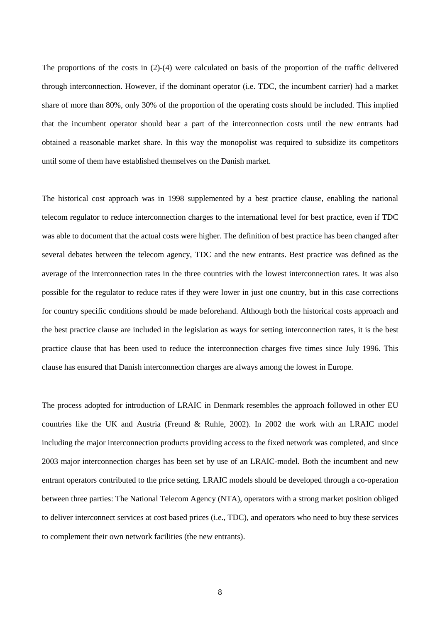The proportions of the costs in (2)-(4) were calculated on basis of the proportion of the traffic delivered through interconnection. However, if the dominant operator (i.e. TDC, the incumbent carrier) had a market share of more than 80%, only 30% of the proportion of the operating costs should be included. This implied that the incumbent operator should bear a part of the interconnection costs until the new entrants had obtained a reasonable market share. In this way the monopolist was required to subsidize its competitors until some of them have established themselves on the Danish market.

The historical cost approach was in 1998 supplemented by a best practice clause, enabling the national telecom regulator to reduce interconnection charges to the international level for best practice, even if TDC was able to document that the actual costs were higher. The definition of best practice has been changed after several debates between the telecom agency, TDC and the new entrants. Best practice was defined as the average of the interconnection rates in the three countries with the lowest interconnection rates. It was also possible for the regulator to reduce rates if they were lower in just one country, but in this case corrections for country specific conditions should be made beforehand. Although both the historical costs approach and the best practice clause are included in the legislation as ways for setting interconnection rates, it is the best practice clause that has been used to reduce the interconnection charges five times since July 1996. This clause has ensured that Danish interconnection charges are always among the lowest in Europe.

The process adopted for introduction of LRAIC in Denmark resembles the approach followed in other EU countries like the UK and Austria (Freund & Ruhle, 2002). In 2002 the work with an LRAIC model including the major interconnection products providing access to the fixed network was completed, and since 2003 major interconnection charges has been set by use of an LRAIC-model. Both the incumbent and new entrant operators contributed to the price setting. LRAIC models should be developed through a co-operation between three parties: The National Telecom Agency (NTA), operators with a strong market position obliged to deliver interconnect services at cost based prices (i.e., TDC), and operators who need to buy these services to complement their own network facilities (the new entrants).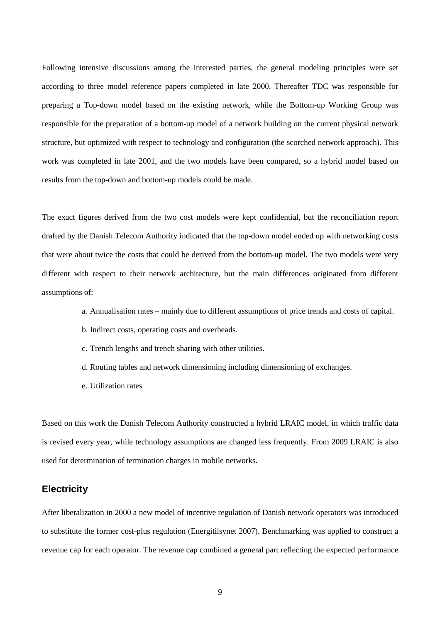Following intensive discussions among the interested parties, the general modeling principles were set according to three model reference papers completed in late 2000. Thereafter TDC was responsible for preparing a Top-down model based on the existing network, while the Bottom-up Working Group was responsible for the preparation of a bottom-up model of a network building on the current physical network structure, but optimized with respect to technology and configuration (the scorched network approach). This work was completed in late 2001, and the two models have been compared, so a hybrid model based on results from the top-down and bottom-up models could be made.

The exact figures derived from the two cost models were kept confidential, but the reconciliation report drafted by the Danish Telecom Authority indicated that the top-down model ended up with networking costs that were about twice the costs that could be derived from the bottom-up model. The two models were very different with respect to their network architecture, but the main differences originated from different assumptions of:

- a. Annualisation rates mainly due to different assumptions of price trends and costs of capital.
- b. Indirect costs, operating costs and overheads.
- c. Trench lengths and trench sharing with other utilities.
- d. Routing tables and network dimensioning including dimensioning of exchanges.
- e. Utilization rates

Based on this work the Danish Telecom Authority constructed a hybrid LRAIC model, in which traffic data is revised every year, while technology assumptions are changed less frequently. From 2009 LRAIC is also used for determination of termination charges in mobile networks.

#### **Electricity**

After liberalization in 2000 a new model of incentive regulation of Danish network operators was introduced to substitute the former cost-plus regulation (Energitilsynet 2007). Benchmarking was applied to construct a revenue cap for each operator. The revenue cap combined a general part reflecting the expected performance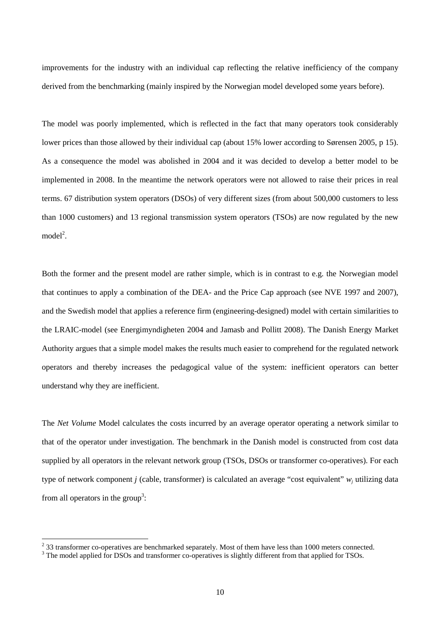improvements for the industry with an individual cap reflecting the relative inefficiency of the company derived from the benchmarking (mainly inspired by the Norwegian model developed some years before).

The model was poorly implemented, which is reflected in the fact that many operators took considerably lower prices than those allowed by their individual cap (about 15% lower according to Sørensen 2005, p 15). As a consequence the model was abolished in 2004 and it was decided to develop a better model to be implemented in 2008. In the meantime the network operators were not allowed to raise their prices in real terms. 67 distribution system operators (DSOs) of very different sizes (from about 500,000 customers to less than 1000 customers) and 13 regional transmission system operators (TSOs) are now regulated by the new  $model<sup>2</sup>$ .

Both the former and the present model are rather simple, which is in contrast to e.g. the Norwegian model that continues to apply a combination of the DEA- and the Price Cap approach (see NVE 1997 and 2007), and the Swedish model that applies a reference firm (engineering-designed) model with certain similarities to the LRAIC-model (see Energimyndigheten 2004 and Jamasb and Pollitt 2008). The Danish Energy Market Authority argues that a simple model makes the results much easier to comprehend for the regulated network operators and thereby increases the pedagogical value of the system: inefficient operators can better understand why they are inefficient.

The *Net Volume* Model calculates the costs incurred by an average operator operating a network similar to that of the operator under investigation. The benchmark in the Danish model is constructed from cost data supplied by all operators in the relevant network group (TSOs, DSOs or transformer co-operatives). For each type of network component *j* (cable, transformer) is calculated an average "cost equivalent" *w<sup>j</sup>* utilizing data from all operators in the group<sup>3</sup>:

 $\overline{a}$ 

 $2^{2}$  33 transformer co-operatives are benchmarked separately. Most of them have less than 1000 meters connected.

<sup>&</sup>lt;sup>3</sup> The model applied for DSOs and transformer co-operatives is slightly different from that applied for TSOs.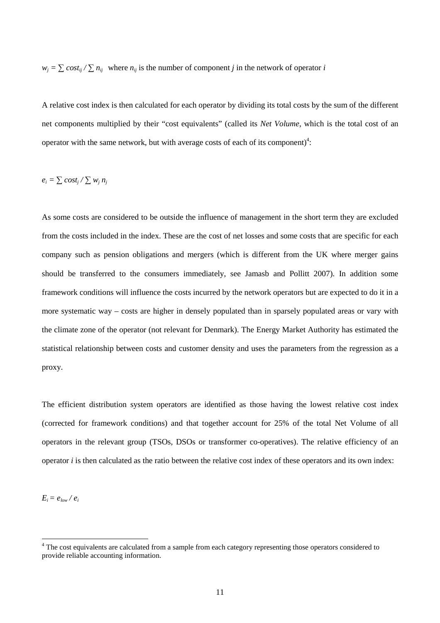$w_j = \sum \cos t_{ij} / \sum n_{ij}$  where  $n_{ij}$  is the number of component *j* in the network of operator *i* 

A relative cost index is then calculated for each operator by dividing its total costs by the sum of the different net components multiplied by their "cost equivalents" (called its *Net Volume*, which is the total cost of an operator with the same network, but with average costs of each of its component)<sup>4</sup>:

$$
e_i = \sum cost_j / \sum w_j n_j
$$

As some costs are considered to be outside the influence of management in the short term they are excluded from the costs included in the index. These are the cost of net losses and some costs that are specific for each company such as pension obligations and mergers (which is different from the UK where merger gains should be transferred to the consumers immediately, see Jamasb and Pollitt 2007). In addition some framework conditions will influence the costs incurred by the network operators but are expected to do it in a more systematic way – costs are higher in densely populated than in sparsely populated areas or vary with the climate zone of the operator (not relevant for Denmark). The Energy Market Authority has estimated the statistical relationship between costs and customer density and uses the parameters from the regression as a proxy.

The efficient distribution system operators are identified as those having the lowest relative cost index (corrected for framework conditions) and that together account for 25% of the total Net Volume of all operators in the relevant group (TSOs, DSOs or transformer co-operatives). The relative efficiency of an operator *i* is then calculated as the ratio between the relative cost index of these operators and its own index:

 $E_i = e_{low} / e_i$ 

 $\overline{a}$ 

<sup>&</sup>lt;sup>4</sup> The cost equivalents are calculated from a sample from each category representing those operators considered to provide reliable accounting information.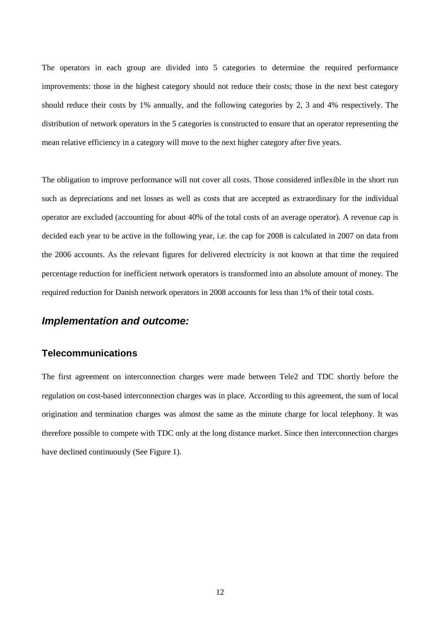The operators in each group are divided into 5 categories to determine the required performance improvements: those in the highest category should not reduce their costs; those in the next best category should reduce their costs by 1% annually, and the following categories by 2, 3 and 4% respectively. The distribution of network operators in the 5 categories is constructed to ensure that an operator representing the mean relative efficiency in a category will move to the next higher category after five years.

The obligation to improve performance will not cover all costs. Those considered inflexible in the short run such as depreciations and net losses as well as costs that are accepted as extraordinary for the individual operator are excluded (accounting for about 40% of the total costs of an average operator). A revenue cap is decided each year to be active in the following year, i.e. the cap for 2008 is calculated in 2007 on data from the 2006 accounts. As the relevant figures for delivered electricity is not known at that time the required percentage reduction for inefficient network operators is transformed into an absolute amount of money. The required reduction for Danish network operators in 2008 accounts for less than 1% of their total costs.

#### **Implementation and outcome:**

### **Telecommunications**

The first agreement on interconnection charges were made between Tele2 and TDC shortly before the regulation on cost-based interconnection charges was in place. According to this agreement, the sum of local origination and termination charges was almost the same as the minute charge for local telephony. It was therefore possible to compete with TDC only at the long distance market. Since then interconnection charges have declined continuously (See Figure 1).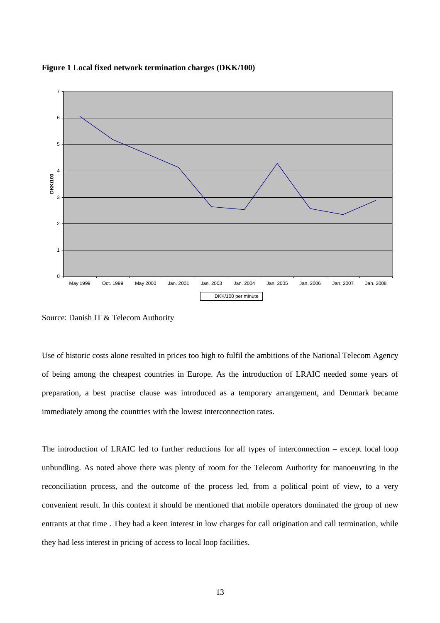



Source: Danish IT & Telecom Authority

Use of historic costs alone resulted in prices too high to fulfil the ambitions of the National Telecom Agency of being among the cheapest countries in Europe. As the introduction of LRAIC needed some years of preparation, a best practise clause was introduced as a temporary arrangement, and Denmark became immediately among the countries with the lowest interconnection rates.

The introduction of LRAIC led to further reductions for all types of interconnection – except local loop unbundling. As noted above there was plenty of room for the Telecom Authority for manoeuvring in the reconciliation process, and the outcome of the process led, from a political point of view, to a very convenient result. In this context it should be mentioned that mobile operators dominated the group of new entrants at that time . They had a keen interest in low charges for call origination and call termination, while they had less interest in pricing of access to local loop facilities.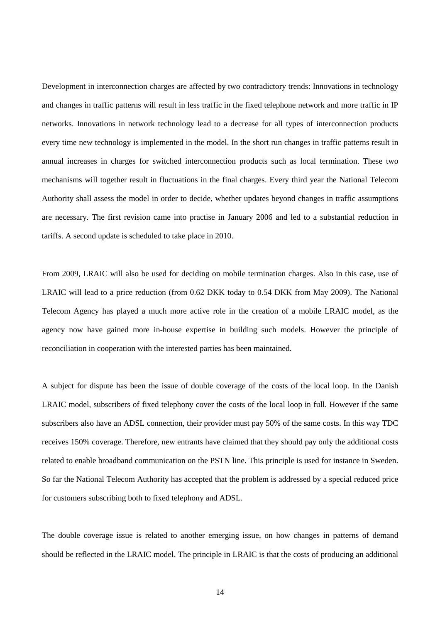Development in interconnection charges are affected by two contradictory trends: Innovations in technology and changes in traffic patterns will result in less traffic in the fixed telephone network and more traffic in IP networks. Innovations in network technology lead to a decrease for all types of interconnection products every time new technology is implemented in the model. In the short run changes in traffic patterns result in annual increases in charges for switched interconnection products such as local termination. These two mechanisms will together result in fluctuations in the final charges. Every third year the National Telecom Authority shall assess the model in order to decide, whether updates beyond changes in traffic assumptions are necessary. The first revision came into practise in January 2006 and led to a substantial reduction in tariffs. A second update is scheduled to take place in 2010.

From 2009, LRAIC will also be used for deciding on mobile termination charges. Also in this case, use of LRAIC will lead to a price reduction (from 0.62 DKK today to 0.54 DKK from May 2009). The National Telecom Agency has played a much more active role in the creation of a mobile LRAIC model, as the agency now have gained more in-house expertise in building such models. However the principle of reconciliation in cooperation with the interested parties has been maintained.

A subject for dispute has been the issue of double coverage of the costs of the local loop. In the Danish LRAIC model, subscribers of fixed telephony cover the costs of the local loop in full. However if the same subscribers also have an ADSL connection, their provider must pay 50% of the same costs. In this way TDC receives 150% coverage. Therefore, new entrants have claimed that they should pay only the additional costs related to enable broadband communication on the PSTN line. This principle is used for instance in Sweden. So far the National Telecom Authority has accepted that the problem is addressed by a special reduced price for customers subscribing both to fixed telephony and ADSL.

The double coverage issue is related to another emerging issue, on how changes in patterns of demand should be reflected in the LRAIC model. The principle in LRAIC is that the costs of producing an additional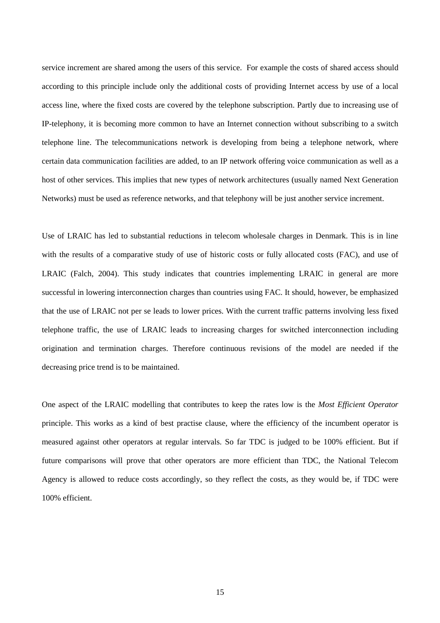service increment are shared among the users of this service. For example the costs of shared access should according to this principle include only the additional costs of providing Internet access by use of a local access line, where the fixed costs are covered by the telephone subscription. Partly due to increasing use of IP-telephony, it is becoming more common to have an Internet connection without subscribing to a switch telephone line. The telecommunications network is developing from being a telephone network, where certain data communication facilities are added, to an IP network offering voice communication as well as a host of other services. This implies that new types of network architectures (usually named Next Generation Networks) must be used as reference networks, and that telephony will be just another service increment.

Use of LRAIC has led to substantial reductions in telecom wholesale charges in Denmark. This is in line with the results of a comparative study of use of historic costs or fully allocated costs (FAC), and use of LRAIC (Falch, 2004). This study indicates that countries implementing LRAIC in general are more successful in lowering interconnection charges than countries using FAC. It should, however, be emphasized that the use of LRAIC not per se leads to lower prices. With the current traffic patterns involving less fixed telephone traffic, the use of LRAIC leads to increasing charges for switched interconnection including origination and termination charges. Therefore continuous revisions of the model are needed if the decreasing price trend is to be maintained.

One aspect of the LRAIC modelling that contributes to keep the rates low is the *Most Efficient Operator*  principle. This works as a kind of best practise clause, where the efficiency of the incumbent operator is measured against other operators at regular intervals. So far TDC is judged to be 100% efficient. But if future comparisons will prove that other operators are more efficient than TDC, the National Telecom Agency is allowed to reduce costs accordingly, so they reflect the costs, as they would be, if TDC were 100% efficient.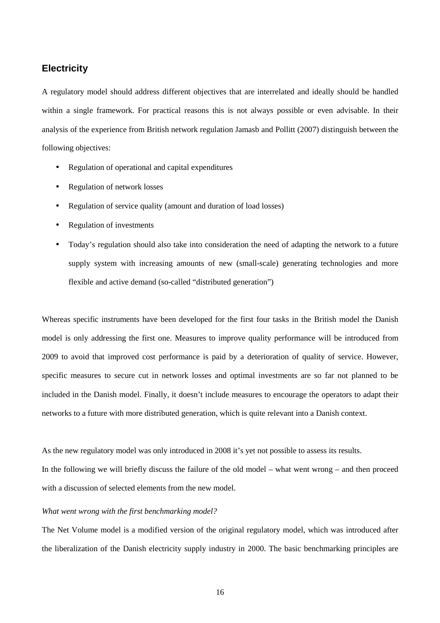#### **Electricity**

A regulatory model should address different objectives that are interrelated and ideally should be handled within a single framework. For practical reasons this is not always possible or even advisable. In their analysis of the experience from British network regulation Jamasb and Pollitt (2007) distinguish between the following objectives:

- Regulation of operational and capital expenditures
- Regulation of network losses
- Regulation of service quality (amount and duration of load losses)
- Regulation of investments
- Today's regulation should also take into consideration the need of adapting the network to a future supply system with increasing amounts of new (small-scale) generating technologies and more flexible and active demand (so-called "distributed generation")

Whereas specific instruments have been developed for the first four tasks in the British model the Danish model is only addressing the first one. Measures to improve quality performance will be introduced from 2009 to avoid that improved cost performance is paid by a deterioration of quality of service. However, specific measures to secure cut in network losses and optimal investments are so far not planned to be included in the Danish model. Finally, it doesn't include measures to encourage the operators to adapt their networks to a future with more distributed generation, which is quite relevant into a Danish context.

As the new regulatory model was only introduced in 2008 it's yet not possible to assess its results.

In the following we will briefly discuss the failure of the old model – what went wrong – and then proceed with a discussion of selected elements from the new model.

#### *What went wrong with the first benchmarking model?*

The Net Volume model is a modified version of the original regulatory model, which was introduced after the liberalization of the Danish electricity supply industry in 2000. The basic benchmarking principles are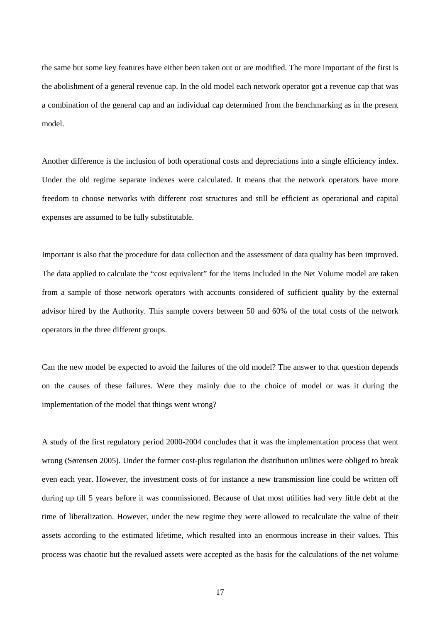the same but some key features have either been taken out or are modified. The more important of the first is the abolishment of a general revenue cap. In the old model each network operator got a revenue cap that was a combination of the general cap and an individual cap determined from the benchmarking as in the present model.

Another difference is the inclusion of both operational costs and depreciations into a single efficiency index. Under the old regime separate indexes were calculated. It means that the network operators have more freedom to choose networks with different cost structures and still be efficient as operational and capital expenses are assumed to be fully substitutable.

Important is also that the procedure for data collection and the assessment of data quality has been improved. The data applied to calculate the "cost equivalent" for the items included in the Net Volume model are taken from a sample of those network operators with accounts considered of sufficient quality by the external advisor hired by the Authority. This sample covers between 50 and 60% of the total costs of the network operators in the three different groups.

Can the new model be expected to avoid the failures of the old model? The answer to that question depends on the causes of these failures. Were they mainly due to the choice of model or was it during the implementation of the model that things went wrong?

A study of the first regulatory period 2000-2004 concludes that it was the implementation process that went wrong (Sørensen 2005). Under the former cost-plus regulation the distribution utilities were obliged to break even each year. However, the investment costs of for instance a new transmission line could be written off during up till 5 years before it was commissioned. Because of that most utilities had very little debt at the time of liberalization. However, under the new regime they were allowed to recalculate the value of their assets according to the estimated lifetime, which resulted into an enormous increase in their values. This process was chaotic but the revalued assets were accepted as the basis for the calculations of the net volume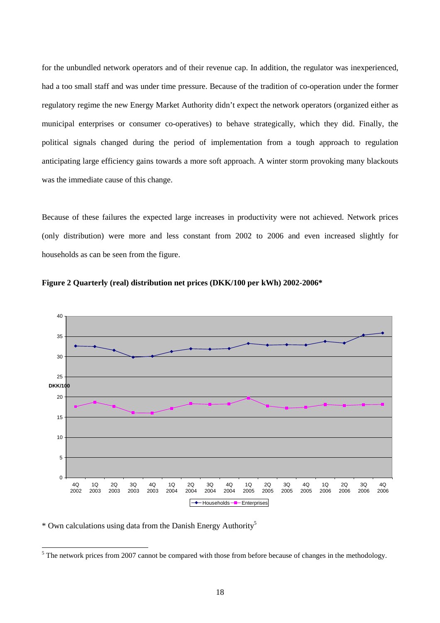for the unbundled network operators and of their revenue cap. In addition, the regulator was inexperienced, had a too small staff and was under time pressure. Because of the tradition of co-operation under the former regulatory regime the new Energy Market Authority didn't expect the network operators (organized either as municipal enterprises or consumer co-operatives) to behave strategically, which they did. Finally, the political signals changed during the period of implementation from a tough approach to regulation anticipating large efficiency gains towards a more soft approach. A winter storm provoking many blackouts was the immediate cause of this change.

Because of these failures the expected large increases in productivity were not achieved. Network prices (only distribution) were more and less constant from 2002 to 2006 and even increased slightly for households as can be seen from the figure.





\* Own calculations using data from the Danish Energy Authority<sup>5</sup>

<sup>&</sup>lt;sup>5</sup> The network prices from 2007 cannot be compared with those from before because of changes in the methodology.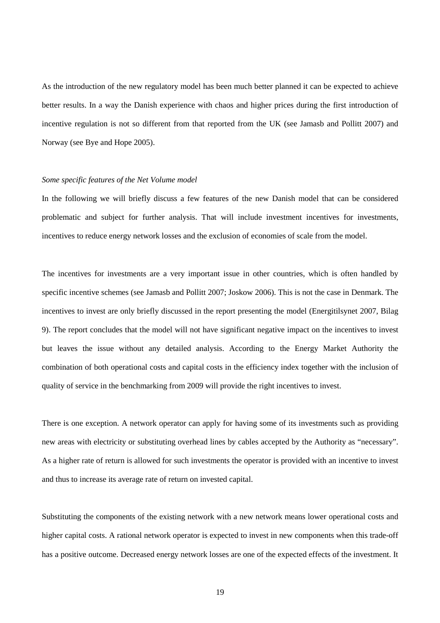As the introduction of the new regulatory model has been much better planned it can be expected to achieve better results. In a way the Danish experience with chaos and higher prices during the first introduction of incentive regulation is not so different from that reported from the UK (see Jamasb and Pollitt 2007) and Norway (see Bye and Hope 2005).

#### *Some specific features of the Net Volume model*

In the following we will briefly discuss a few features of the new Danish model that can be considered problematic and subject for further analysis. That will include investment incentives for investments, incentives to reduce energy network losses and the exclusion of economies of scale from the model.

The incentives for investments are a very important issue in other countries, which is often handled by specific incentive schemes (see Jamasb and Pollitt 2007; Joskow 2006). This is not the case in Denmark. The incentives to invest are only briefly discussed in the report presenting the model (Energitilsynet 2007, Bilag 9). The report concludes that the model will not have significant negative impact on the incentives to invest but leaves the issue without any detailed analysis. According to the Energy Market Authority the combination of both operational costs and capital costs in the efficiency index together with the inclusion of quality of service in the benchmarking from 2009 will provide the right incentives to invest.

There is one exception. A network operator can apply for having some of its investments such as providing new areas with electricity or substituting overhead lines by cables accepted by the Authority as "necessary". As a higher rate of return is allowed for such investments the operator is provided with an incentive to invest and thus to increase its average rate of return on invested capital.

Substituting the components of the existing network with a new network means lower operational costs and higher capital costs. A rational network operator is expected to invest in new components when this trade-off has a positive outcome. Decreased energy network losses are one of the expected effects of the investment. It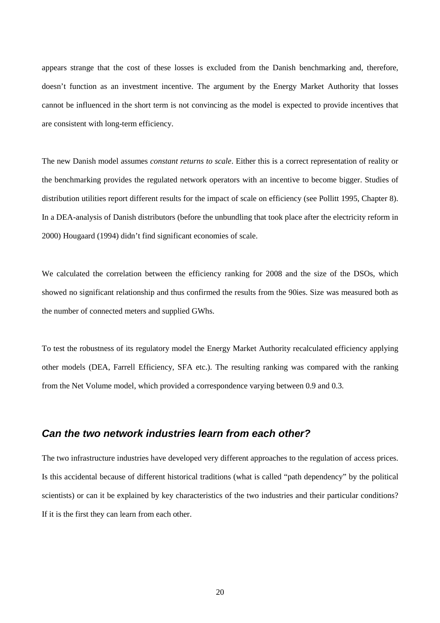appears strange that the cost of these losses is excluded from the Danish benchmarking and, therefore, doesn't function as an investment incentive. The argument by the Energy Market Authority that losses cannot be influenced in the short term is not convincing as the model is expected to provide incentives that are consistent with long-term efficiency.

The new Danish model assumes *constant returns to scale*. Either this is a correct representation of reality or the benchmarking provides the regulated network operators with an incentive to become bigger. Studies of distribution utilities report different results for the impact of scale on efficiency (see Pollitt 1995, Chapter 8). In a DEA-analysis of Danish distributors (before the unbundling that took place after the electricity reform in 2000) Hougaard (1994) didn't find significant economies of scale.

We calculated the correlation between the efficiency ranking for 2008 and the size of the DSOs, which showed no significant relationship and thus confirmed the results from the 90ies. Size was measured both as the number of connected meters and supplied GWhs.

To test the robustness of its regulatory model the Energy Market Authority recalculated efficiency applying other models (DEA, Farrell Efficiency, SFA etc.). The resulting ranking was compared with the ranking from the Net Volume model, which provided a correspondence varying between 0.9 and 0.3.

### **Can the two network industries learn from each other?**

The two infrastructure industries have developed very different approaches to the regulation of access prices. Is this accidental because of different historical traditions (what is called "path dependency" by the political scientists) or can it be explained by key characteristics of the two industries and their particular conditions? If it is the first they can learn from each other.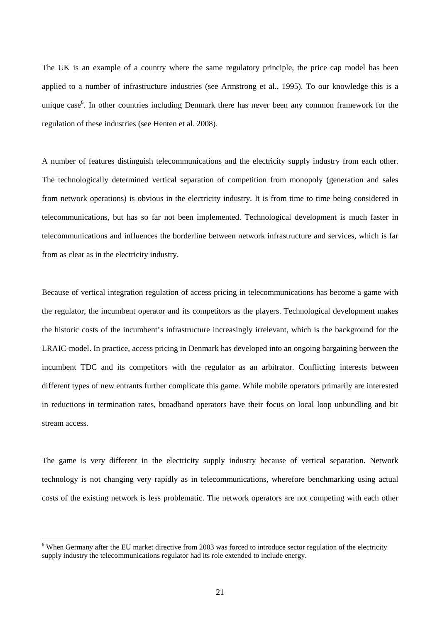The UK is an example of a country where the same regulatory principle, the price cap model has been applied to a number of infrastructure industries (see Armstrong et al., 1995). To our knowledge this is a unique case<sup>6</sup>. In other countries including Denmark there has never been any common framework for the regulation of these industries (see Henten et al. 2008).

A number of features distinguish telecommunications and the electricity supply industry from each other. The technologically determined vertical separation of competition from monopoly (generation and sales from network operations) is obvious in the electricity industry. It is from time to time being considered in telecommunications, but has so far not been implemented. Technological development is much faster in telecommunications and influences the borderline between network infrastructure and services, which is far from as clear as in the electricity industry.

Because of vertical integration regulation of access pricing in telecommunications has become a game with the regulator, the incumbent operator and its competitors as the players. Technological development makes the historic costs of the incumbent's infrastructure increasingly irrelevant, which is the background for the LRAIC-model. In practice, access pricing in Denmark has developed into an ongoing bargaining between the incumbent TDC and its competitors with the regulator as an arbitrator. Conflicting interests between different types of new entrants further complicate this game. While mobile operators primarily are interested in reductions in termination rates, broadband operators have their focus on local loop unbundling and bit stream access.

The game is very different in the electricity supply industry because of vertical separation. Network technology is not changing very rapidly as in telecommunications, wherefore benchmarking using actual costs of the existing network is less problematic. The network operators are not competing with each other

 $\overline{a}$ 

<sup>&</sup>lt;sup>6</sup> When Germany after the EU market directive from 2003 was forced to introduce sector regulation of the electricity supply industry the telecommunications regulator had its role extended to include energy.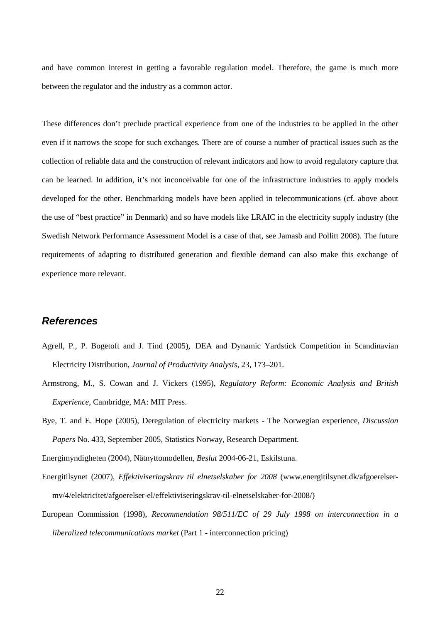and have common interest in getting a favorable regulation model. Therefore, the game is much more between the regulator and the industry as a common actor.

These differences don't preclude practical experience from one of the industries to be applied in the other even if it narrows the scope for such exchanges. There are of course a number of practical issues such as the collection of reliable data and the construction of relevant indicators and how to avoid regulatory capture that can be learned. In addition, it's not inconceivable for one of the infrastructure industries to apply models developed for the other. Benchmarking models have been applied in telecommunications (cf. above about the use of "best practice" in Denmark) and so have models like LRAIC in the electricity supply industry (the Swedish Network Performance Assessment Model is a case of that, see Jamasb and Pollitt 2008). The future requirements of adapting to distributed generation and flexible demand can also make this exchange of experience more relevant.

### **References**

- Agrell, P., P. Bogetoft and J. Tind (2005), DEA and Dynamic Yardstick Competition in Scandinavian Electricity Distribution, *Journal of Productivity Analysis*, 23, 173–201.
- Armstrong, M., S. Cowan and J. Vickers (1995), *Regulatory Reform: Economic Analysis and British Experience*, Cambridge, MA: MIT Press.
- Bye, T. and E. Hope (2005), Deregulation of electricity markets The Norwegian experience, *Discussion Papers* No. 433, September 2005, Statistics Norway, Research Department.

Energimyndigheten (2004), Nätnyttomodellen, *Beslut* 2004-06-21, Eskilstuna.

Energitilsynet (2007), *Effektiviseringskrav til elnetselskaber for 2008* (www.energitilsynet.dk/afgoerelsermv/4/elektricitet/afgoerelser-el/effektiviseringskrav-til-elnetselskaber-for-2008/)

European Commission (1998), *Recommendation 98/511/EC of 29 July 1998 on interconnection in a liberalized telecommunications market* (Part 1 - interconnection pricing)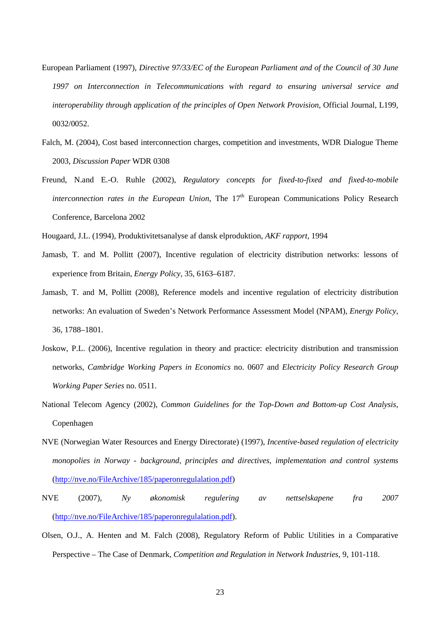- European Parliament (1997), *Directive 97/33/EC of the European Parliament and of the Council of 30 June 1997 on Interconnection in Telecommunications with regard to ensuring universal service and interoperability through application of the principles of Open Network Provision*, Official Journal, L199, 0032/0052.
- Falch, M. (2004), Cost based interconnection charges, competition and investments, WDR Dialogue Theme 2003, *Discussion Paper* WDR 0308
- Freund, N.and E.-O. Ruhle (2002), *Regulatory concepts for fixed-to-fixed and fixed-to-mobile interconnection rates in the European Union*, The 17<sup>th</sup> European Communications Policy Research Conference, Barcelona 2002

Hougaard, J.L. (1994), Produktivitetsanalyse af dansk elproduktion, *AKF rapport*, 1994

- Jamasb, T. and M. Pollitt (2007), Incentive regulation of electricity distribution networks: lessons of experience from Britain, *Energy Policy*, 35, 6163–6187.
- Jamasb, T. and M, Pollitt (2008), Reference models and incentive regulation of electricity distribution networks: An evaluation of Sweden's Network Performance Assessment Model (NPAM), *Energy Policy*, 36, 1788–1801.
- Joskow, P.L. (2006), Incentive regulation in theory and practice: electricity distribution and transmission networks, *Cambridge Working Papers in Economics* no. 0607 and *Electricity Policy Research Group Working Paper Series* no. 0511.
- National Telecom Agency (2002), *Common Guidelines for the Top-Down and Bottom-up Cost Analysis*, Copenhagen
- NVE (Norwegian Water Resources and Energy Directorate) (1997), *Incentive-based regulation of electricity monopolies in Norway - background, principles and directives, implementation and control systems* (http://nve.no/FileArchive/185/paperonregulalation.pdf)
- NVE (2007), *Ny økonomisk regulering av nettselskapene fra 2007* (http://nve.no/FileArchive/185/paperonregulalation.pdf).
- Olsen, O.J., A. Henten and M. Falch (2008), Regulatory Reform of Public Utilities in a Comparative Perspective – The Case of Denmark, *Competition and Regulation in Network Industries*, 9, 101-118.